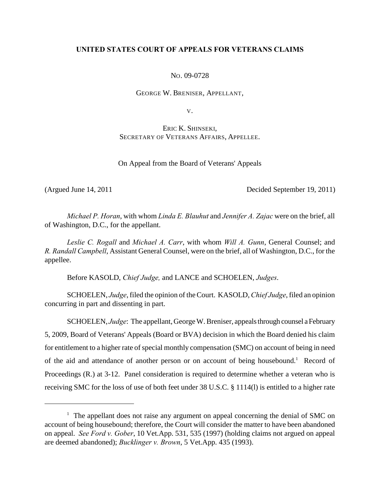# **UNITED STATES COURT OF APPEALS FOR VETERANS CLAIMS**

NO. 09-0728

GEORGE W. BRENISER, APPELLANT,

V.

ERIC K. SHINSEKI, SECRETARY OF VETERANS AFFAIRS, APPELLEE.

On Appeal from the Board of Veterans' Appeals

(Argued June 14, 2011 Decided September 19, 2011)

*Michael P. Horan*, with whom *Linda E. Blauhut* and *Jennifer A. Zajac* were on the brief, all of Washington, D.C., for the appellant.

*Leslie C. Rogall* and *Michael A. Carr*, with whom *Will A. Gunn*, General Counsel; and *R. Randall Campbell*, Assistant General Counsel, were on the brief, all of Washington, D.C., for the appellee.

Before KASOLD, *Chief Judge,* and LANCE and SCHOELEN, *Judges*.

SCHOELEN, *Judge*, filed the opinion of the Court. KASOLD, *Chief Judge*, filed an opinion concurring in part and dissenting in part.

SCHOELEN, *Judge*: The appellant, George W. Breniser, appeals through counsel a February 5, 2009, Board of Veterans' Appeals (Board or BVA) decision in which the Board denied his claim for entitlement to a higher rate of special monthly compensation (SMC) on account of being in need of the aid and attendance of another person or on account of being housebound.<sup>1</sup> Record of Proceedings (R.) at 3-12. Panel consideration is required to determine whether a veteran who is receiving SMC for the loss of use of both feet under 38 U.S.C. § 1114(l) is entitled to a higher rate

 $1$  The appellant does not raise any argument on appeal concerning the denial of SMC on account of being housebound; therefore, the Court will consider the matter to have been abandoned on appeal. *See Ford v. Gober*, 10 Vet.App. 531, 535 (1997) (holding claims not argued on appeal are deemed abandoned); *Bucklinger v. Brown*, 5 Vet.App. 435 (1993).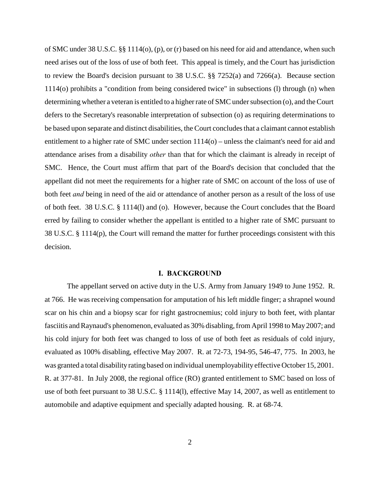of SMC under 38 U.S.C. §§ 1114(o), (p), or (r) based on his need for aid and attendance, when such need arises out of the loss of use of both feet. This appeal is timely, and the Court has jurisdiction to review the Board's decision pursuant to 38 U.S.C. §§ 7252(a) and 7266(a). Because section 1114(o) prohibits a "condition from being considered twice" in subsections (l) through (n) when determining whether a veteran is entitled to a higher rate of SMC under subsection (o), and the Court defers to the Secretary's reasonable interpretation of subsection (o) as requiring determinations to be based upon separate and distinct disabilities, the Court concludes that a claimant cannot establish entitlement to a higher rate of SMC under section 1114(o) – unless the claimant's need for aid and attendance arises from a disability *other* than that for which the claimant is already in receipt of SMC. Hence, the Court must affirm that part of the Board's decision that concluded that the appellant did not meet the requirements for a higher rate of SMC on account of the loss of use of both feet *and* being in need of the aid or attendance of another person as a result of the loss of use of both feet. 38 U.S.C. § 1114(l) and (o). However, because the Court concludes that the Board erred by failing to consider whether the appellant is entitled to a higher rate of SMC pursuant to 38 U.S.C. § 1114(p), the Court will remand the matter for further proceedings consistent with this decision.

### **I. BACKGROUND**

The appellant served on active duty in the U.S. Army from January 1949 to June 1952. R. at 766. He was receiving compensation for amputation of his left middle finger; a shrapnel wound scar on his chin and a biopsy scar for right gastrocnemius; cold injury to both feet, with plantar fasciitis and Raynaud's phenomenon, evaluated as 30% disabling, from April 1998 to May 2007; and his cold injury for both feet was changed to loss of use of both feet as residuals of cold injury, evaluated as 100% disabling, effective May 2007. R. at 72-73, 194-95, 546-47, 775. In 2003, he was granted a total disability rating based on individual unemployability effective October 15, 2001. R. at 377-81. In July 2008, the regional office (RO) granted entitlement to SMC based on loss of use of both feet pursuant to 38 U.S.C. § 1114(l), effective May 14, 2007, as well as entitlement to automobile and adaptive equipment and specially adapted housing. R. at 68-74.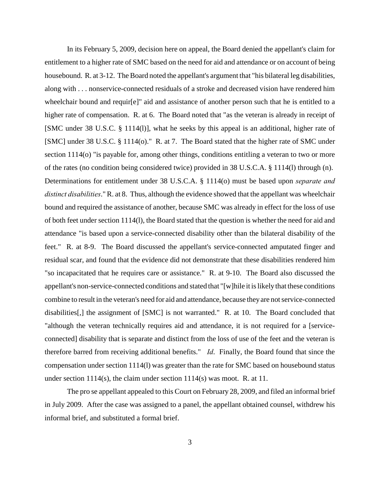In its February 5, 2009, decision here on appeal, the Board denied the appellant's claim for entitlement to a higher rate of SMC based on the need for aid and attendance or on account of being housebound. R. at 3-12. The Board noted the appellant's argument that "his bilateral leg disabilities, along with . . . nonservice-connected residuals of a stroke and decreased vision have rendered him wheelchair bound and requir[e]" aid and assistance of another person such that he is entitled to a higher rate of compensation. R. at 6. The Board noted that "as the veteran is already in receipt of [SMC under 38 U.S.C. § 1114(l)], what he seeks by this appeal is an additional, higher rate of [SMC] under 38 U.S.C. § 1114(o)." R. at 7. The Board stated that the higher rate of SMC under section 1114(o) "is payable for, among other things, conditions entitling a veteran to two or more of the rates (no condition being considered twice) provided in 38 U.S.C.A. § 1114(l) through (n). Determinations for entitlement under 38 U.S.C.A. § 1114(o) must be based upon *separate and distinct disabilities*." R. at 8. Thus, although the evidence showed that the appellant was wheelchair bound and required the assistance of another, because SMC was already in effect for the loss of use of both feet under section 1114(l), the Board stated that the question is whether the need for aid and attendance "is based upon a service-connected disability other than the bilateral disability of the feet." R. at 8-9. The Board discussed the appellant's service-connected amputated finger and residual scar, and found that the evidence did not demonstrate that these disabilities rendered him "so incapacitated that he requires care or assistance." R. at 9-10. The Board also discussed the appellant's non-service-connected conditions and stated that "[w]hile it is likely that these conditions combine to result in the veteran's need for aid and attendance, because they are not service-connected disabilities[,] the assignment of [SMC] is not warranted." R. at 10. The Board concluded that "although the veteran technically requires aid and attendance, it is not required for a [serviceconnected] disability that is separate and distinct from the loss of use of the feet and the veteran is therefore barred from receiving additional benefits." *Id*. Finally, the Board found that since the compensation under section 1114(l) was greater than the rate for SMC based on housebound status under section 1114(s), the claim under section 1114(s) was moot. R. at 11.

The pro se appellant appealed to this Court on February 28, 2009, and filed an informal brief in July 2009. After the case was assigned to a panel, the appellant obtained counsel, withdrew his informal brief, and substituted a formal brief.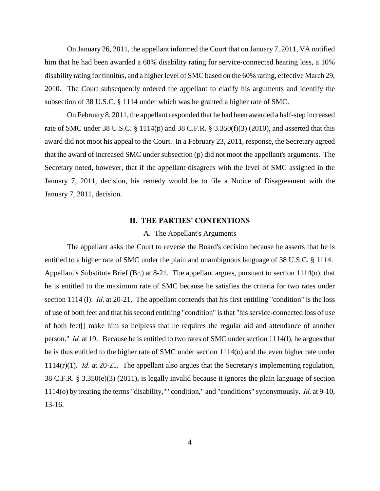On January 26, 2011, the appellant informed the Court that on January 7, 2011, VA notified him that he had been awarded a 60% disability rating for service-connected hearing loss, a 10% disability rating for tinnitus, and a higher level of SMC based on the 60% rating, effective March 29, 2010. The Court subsequently ordered the appellant to clarify his arguments and identify the subsection of 38 U.S.C. § 1114 under which was he granted a higher rate of SMC.

On February 8, 2011, the appellant responded that he had been awarded a half-step increased rate of SMC under 38 U.S.C.  $\S$  1114(p) and 38 C.F.R.  $\S$  3.350(f)(3) (2010), and asserted that this award did not moot his appeal to the Court. In a February 23, 2011, response, the Secretary agreed that the award of increased SMC under subsection (p) did not moot the appellant's arguments. The Secretary noted, however, that if the appellant disagrees with the level of SMC assigned in the January 7, 2011, decision, his remedy would be to file a Notice of Disagreement with the January 7, 2011, decision.

### **II. THE PARTIES' CONTENTIONS**

#### A. The Appellant's Arguments

The appellant asks the Court to reverse the Board's decision because he asserts that he is entitled to a higher rate of SMC under the plain and unambiguous language of 38 U.S.C. § 1114. Appellant's Substitute Brief (Br.) at 8-21. The appellant argues, pursuant to section 1114(o), that he is entitled to the maximum rate of SMC because he satisfies the criteria for two rates under section 1114 (l). *Id*. at 20-21. The appellant contends that his first entitling "condition" is the loss of use of both feet and that his second entitling "condition" is that "his service-connected loss of use of both feet[] make him so helpless that he requires the regular aid and attendance of another person." *Id.* at 19. Because he is entitled to two rates of SMC under section 1114(l), he argues that he is thus entitled to the higher rate of SMC under section 1114(o) and the even higher rate under 1114(r)(1). *Id*. at 20-21. The appellant also argues that the Secretary's implementing regulation, 38 C.F.R. § 3.350(e)(3) (2011), is legally invalid because it ignores the plain language of section 1114(o) by treating the terms "disability," "condition," and "conditions" synonymously. *Id*. at 9-10, 13-16.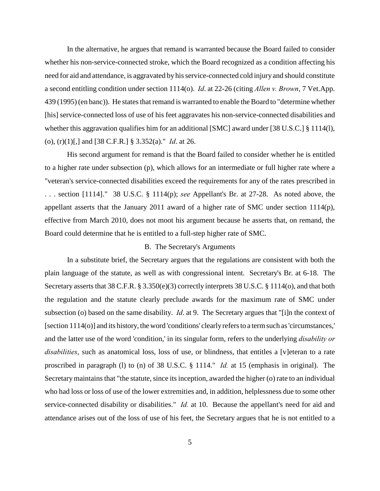In the alternative, he argues that remand is warranted because the Board failed to consider whether his non-service-connected stroke, which the Board recognized as a condition affecting his need for aid and attendance, is aggravated by his service-connected cold injury and should constitute a second entitling condition under section 1114(o). *Id*. at 22-26 (citing *Allen v. Brown*, 7 Vet.App. 439 (1995) (en banc)). He states that remand is warranted to enable the Board to "determine whether [his] service-connected loss of use of his feet aggravates his non-service-connected disabilities and whether this aggravation qualifies him for an additional [SMC] award under [38 U.S.C.] § 1114(l), (o), (r)(1)[,] and [38 C.F.R.] § 3.352(a)." *Id*. at 26.

His second argument for remand is that the Board failed to consider whether he is entitled to a higher rate under subsection (p), which allows for an intermediate or full higher rate where a "veteran's service-connected disabilities exceed the requirements for any of the rates prescribed in . . . section [1114]." 38 U.S.C. § 1114(p); *see* Appellant's Br. at 27-28. As noted above, the appellant asserts that the January 2011 award of a higher rate of SMC under section 1114(p), effective from March 2010, does not moot his argument because he asserts that, on remand, the Board could determine that he is entitled to a full-step higher rate of SMC.

# B. The Secretary's Arguments

In a substitute brief, the Secretary argues that the regulations are consistent with both the plain language of the statute, as well as with congressional intent. Secretary's Br. at 6-18. The Secretary asserts that 38 C.F.R. § 3.350(e)(3) correctly interprets 38 U.S.C. § 1114(o), and that both the regulation and the statute clearly preclude awards for the maximum rate of SMC under subsection (o) based on the same disability. *Id*. at 9. The Secretary argues that "[i]n the context of [section 1114(o)] and its history, the word 'conditions' clearly refers to a term such as 'circumstances,' and the latter use of the word 'condition,' in its singular form, refers to the underlying *disability or disabilities*, such as anatomical loss, loss of use, or blindness, that entitles a [v]eteran to a rate proscribed in paragraph (l) to (n) of 38 U.S.C. § 1114." *Id.* at 15 (emphasis in original). The Secretary maintains that "the statute, since its inception, awarded the higher (o) rate to an individual who had loss or loss of use of the lower extremities and, in addition, helplessness due to some other service-connected disability or disabilities." *Id.* at 10. Because the appellant's need for aid and attendance arises out of the loss of use of his feet, the Secretary argues that he is not entitled to a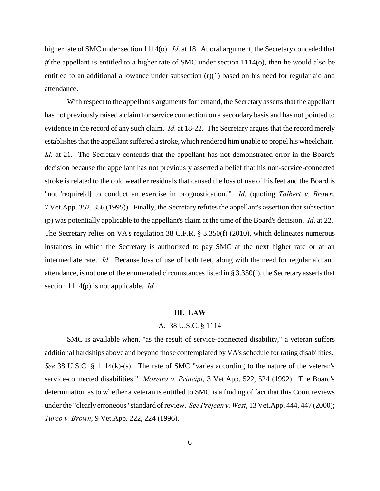higher rate of SMC under section 1114(o). *Id*. at 18. At oral argument, the Secretary conceded that *if* the appellant is entitled to a higher rate of SMC under section 1114(o), then he would also be entitled to an additional allowance under subsection  $(r)(1)$  based on his need for regular aid and attendance.

With respect to the appellant's arguments for remand, the Secretary asserts that the appellant has not previously raised a claim for service connection on a secondary basis and has not pointed to evidence in the record of any such claim. *Id*. at 18-22. The Secretary argues that the record merely establishes that the appellant suffered a stroke, which rendered him unable to propel his wheelchair. *Id.* at 21. The Secretary contends that the appellant has not demonstrated error in the Board's decision because the appellant has not previously asserted a belief that his non-service-connected stroke is related to the cold weather residuals that caused the loss of use of his feet and the Board is "not 'require[d] to conduct an exercise in prognostication.'" *Id*. (quoting *Talbert v. Brown*, 7 Vet.App. 352, 356 (1995)). Finally, the Secretary refutes the appellant's assertion that subsection (p) was potentially applicable to the appellant's claim at the time of the Board's decision. *Id*. at 22. The Secretary relies on VA's regulation 38 C.F.R. § 3.350(f) (2010), which delineates numerous instances in which the Secretary is authorized to pay SMC at the next higher rate or at an intermediate rate. *Id.* Because loss of use of both feet, along with the need for regular aid and attendance, is not one of the enumerated circumstances listed in § 3.350(f), the Secretary asserts that section 1114(p) is not applicable. *Id.*

#### **III. LAW**

# A. 38 U.S.C. § 1114

SMC is available when, "as the result of service-connected disability," a veteran suffers additional hardships above and beyond those contemplated by VA's schedule for rating disabilities. *See* 38 U.S.C. § 1114(k)-(s). The rate of SMC "varies according to the nature of the veteran's service-connected disabilities." *Moreira v. Principi*, 3 Vet.App. 522, 524 (1992). The Board's determination as to whether a veteran is entitled to SMC is a finding of fact that this Court reviews under the "clearly erroneous" standard of review. *See Prejean v. West*, 13 Vet.App. 444, 447 (2000); *Turco v. Brown*, 9 Vet.App. 222, 224 (1996).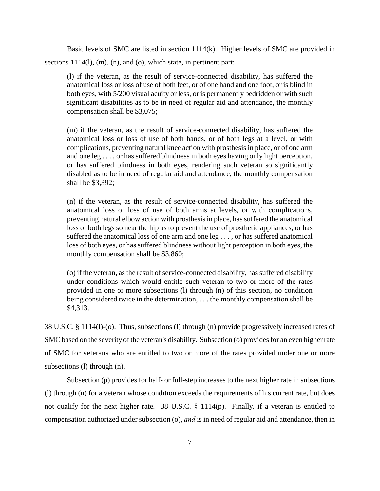Basic levels of SMC are listed in section 1114(k). Higher levels of SMC are provided in sections 1114(l), (m), (n), and (o), which state, in pertinent part:

(l) if the veteran, as the result of service-connected disability, has suffered the anatomical loss or loss of use of both feet, or of one hand and one foot, or is blind in both eyes, with 5/200 visual acuity or less, or is permanently bedridden or with such significant disabilities as to be in need of regular aid and attendance, the monthly compensation shall be \$3,075;

(m) if the veteran, as the result of service-connected disability, has suffered the anatomical loss or loss of use of both hands, or of both legs at a level, or with complications, preventing natural knee action with prosthesis in place, or of one arm and one leg . . . , or has suffered blindness in both eyes having only light perception, or has suffered blindness in both eyes, rendering such veteran so significantly disabled as to be in need of regular aid and attendance, the monthly compensation shall be \$3,392;

(n) if the veteran, as the result of service-connected disability, has suffered the anatomical loss or loss of use of both arms at levels, or with complications, preventing natural elbow action with prosthesis in place, has suffered the anatomical loss of both legs so near the hip as to prevent the use of prosthetic appliances, or has suffered the anatomical loss of one arm and one leg . . . , or has suffered anatomical loss of both eyes, or has suffered blindness without light perception in both eyes, the monthly compensation shall be \$3,860;

(o) if the veteran, as the result of service-connected disability, has suffered disability under conditions which would entitle such veteran to two or more of the rates provided in one or more subsections (l) through (n) of this section, no condition being considered twice in the determination, . . . the monthly compensation shall be \$4,313.

38 U.S.C. § 1114(l)-(o). Thus, subsections (l) through (n) provide progressively increased rates of SMC based on the severity of the veteran's disability. Subsection (o) provides for an even higher rate of SMC for veterans who are entitled to two or more of the rates provided under one or more subsections (l) through (n).

Subsection (p) provides for half- or full-step increases to the next higher rate in subsections (l) through (n) for a veteran whose condition exceeds the requirements of his current rate, but does not qualify for the next higher rate. 38 U.S.C. § 1114(p). Finally, if a veteran is entitled to compensation authorized under subsection (o), *and* is in need of regular aid and attendance, then in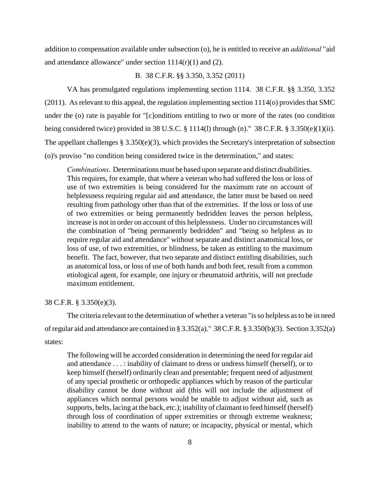addition to compensation available under subsection (o), he is entitled to receive an *additional* "aid and attendance allowance" under section 1114(r)(1) and (2).

# B. 38 C.F.R. §§ 3.350, 3.352 (2011)

VA has promulgated regulations implementing section 1114. 38 C.F.R. §§ 3.350, 3.352 (2011). As relevant to this appeal, the regulation implementing section 1114(o) provides that SMC under the (o) rate is payable for "[c]onditions entitling to two or more of the rates (no condition being considered twice) provided in 38 U.S.C. § 1114(1) through (n)." 38 C.F.R. § 3.350(e)(1)(ii). The appellant challenges § 3.350(e)(3), which provides the Secretary's interpretation of subsection (o)'s proviso "no condition being considered twice in the determination," and states:

*Combinations*. Determinations must be based upon separate and distinct disabilities. This requires, for example, that where a veteran who had suffered the loss or loss of use of two extremities is being considered for the maximum rate on account of helplessness requiring regular aid and attendance, the latter must be based on need resulting from pathology other than that of the extremities. If the loss or loss of use of two extremities or being permanently bedridden leaves the person helpless, increase is not in order on account of this helplessness. Under no circumstances will the combination of "being permanently bedridden" and "being so helpless as to require regular aid and attendance" without separate and distinct anatomical loss, or loss of use, of two extremities, or blindness, be taken as entitling to the maximum benefit. The fact, however, that two separate and distinct entitling disabilities, such as anatomical loss, or loss of use of both hands and both feet, result from a common etiological agent, for example, one injury or rheumatoid arthritis, will not preclude maximum entitlement.

#### 38 C.F.R. § 3.350(e)(3).

The criteria relevant to the determination of whether a veteran "is so helpless as to be in need of regular aid and attendance are contained in § 3.352(a)." 38 C.F.R. § 3.350(b)(3). Section 3.352(a) states:

The following will be accorded consideration in determining the need for regular aid and attendance . . . : inability of claimant to dress or undress himself (herself), or to keep himself (herself) ordinarily clean and presentable; frequent need of adjustment of any special prosthetic or orthopedic appliances which by reason of the particular disability cannot be done without aid (this will not include the adjustment of appliances which normal persons would be unable to adjust without aid, such as supports, belts, lacing at the back, etc.); inability of claimant to feed himself (herself) through loss of coordination of upper extremities or through extreme weakness; inability to attend to the wants of nature; or incapacity, physical or mental, which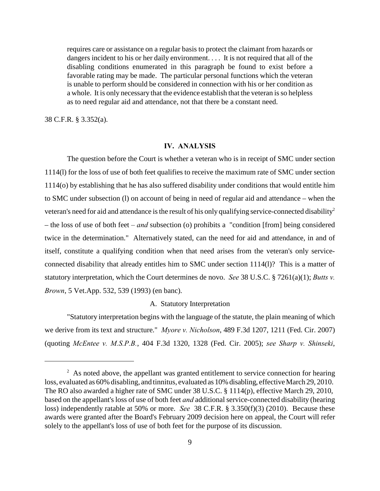requires care or assistance on a regular basis to protect the claimant from hazards or dangers incident to his or her daily environment. . . . It is not required that all of the disabling conditions enumerated in this paragraph be found to exist before a favorable rating may be made. The particular personal functions which the veteran is unable to perform should be considered in connection with his or her condition as a whole. It is only necessary that the evidence establish that the veteran is so helpless as to need regular aid and attendance, not that there be a constant need.

38 C.F.R. § 3.352(a).

### **IV. ANALYSIS**

The question before the Court is whether a veteran who is in receipt of SMC under section 1114(l) for the loss of use of both feet qualifies to receive the maximum rate of SMC under section 1114(o) by establishing that he has also suffered disability under conditions that would entitle him to SMC under subsection (l) on account of being in need of regular aid and attendance – when the veteran's need for aid and attendance is the result of his only qualifying service-connected disability<sup>2</sup> – the loss of use of both feet *– and* subsection (o) prohibits a "condition [from] being considered twice in the determination." Alternatively stated, can the need for aid and attendance, in and of itself, constitute a qualifying condition when that need arises from the veteran's only serviceconnected disability that already entitles him to SMC under section 1114(l)? This is a matter of statutory interpretation, which the Court determines de novo. *See* 38 U.S.C. § 7261(a)(1); *Butts v. Brown*, 5 Vet.App. 532, 539 (1993) (en banc).

# A. Statutory Interpretation

"Statutory interpretation begins with the language of the statute, the plain meaning of which we derive from its text and structure." *Myore v. Nicholson*, 489 F.3d 1207, 1211 (Fed. Cir. 2007) (quoting *McEntee v. M.S.P.B.*, 404 F.3d 1320, 1328 (Fed. Cir. 2005); *see Sharp v. Shinseki*,

 $2\,$  As noted above, the appellant was granted entitlement to service connection for hearing loss, evaluated as 60% disabling, and tinnitus, evaluated as 10% disabling, effective March 29, 2010. The RO also awarded a higher rate of SMC under 38 U.S.C. § 1114(p), effective March 29, 2010, based on the appellant's loss of use of both feet *and* additional service-connected disability (hearing loss) independently ratable at 50% or more. *See* 38 C.F.R. § 3.350(f)(3) (2010). Because these awards were granted after the Board's February 2009 decision here on appeal, the Court will refer solely to the appellant's loss of use of both feet for the purpose of its discussion.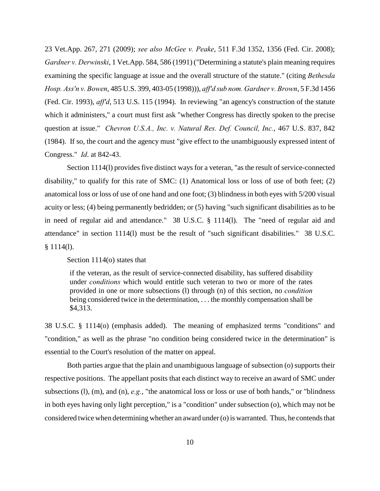23 Vet.App. 267, 271 (2009); *see also McGee v. Peake*, 511 F.3d 1352, 1356 (Fed. Cir. 2008); *Gardner v. Derwinski*, 1 Vet.App. 584, 586 (1991) ("Determining a statute's plain meaning requires examining the specific language at issue and the overall structure of the statute." (citing *Bethesda Hosp. Ass'n v. Bowen*, 485 U.S. 399, 403-05 (1998))), *aff'd sub nom. Gardner v. Brown*, 5 F.3d 1456 (Fed. Cir. 1993), *aff'd*, 513 U.S. 115 (1994). In reviewing "an agency's construction of the statute which it administers," a court must first ask "whether Congress has directly spoken to the precise question at issue." *Chevron U.S.A., Inc. v. Natural Res. Def. Council, Inc.*, 467 U.S. 837, 842 (1984). If so, the court and the agency must "give effect to the unambiguously expressed intent of Congress." *Id*. at 842-43.

Section 1114(l) provides five distinct ways for a veteran, "as the result of service-connected disability," to qualify for this rate of SMC: (1) Anatomical loss or loss of use of both feet; (2) anatomical loss or loss of use of one hand and one foot; (3) blindness in both eyes with 5/200 visual acuity or less; (4) being permanently bedridden; or (5) having "such significant disabilities as to be in need of regular aid and attendance." 38 U.S.C. § 1114(l). The "need of regular aid and attendance" in section 1114(l) must be the result of "such significant disabilities." 38 U.S.C.  $§ 1114(1).$ 

## Section 1114(o) states that

if the veteran, as the result of service-connected disability, has suffered disability under *conditions* which would entitle such veteran to two or more of the rates provided in one or more subsections (l) through (n) of this section, no *condition* being considered twice in the determination, . . . the monthly compensation shall be \$4,313.

38 U.S.C. § 1114(o) (emphasis added). The meaning of emphasized terms "conditions" and "condition," as well as the phrase "no condition being considered twice in the determination" is essential to the Court's resolution of the matter on appeal.

Both parties argue that the plain and unambiguous language of subsection (o) supports their respective positions. The appellant posits that each distinct way to receive an award of SMC under subsections (l), (m), and (n), *e.g.*, "the anatomical loss or loss or use of both hands," or "blindness in both eyes having only light perception," is a "condition" under subsection (o), which may not be considered twice when determining whether an award under (o) is warranted. Thus, he contends that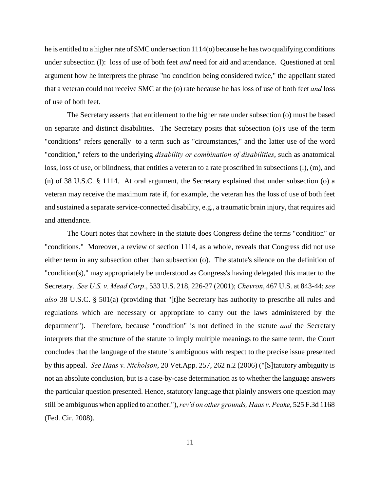he is entitled to a higher rate of SMC under section 1114(o) because he has two qualifying conditions under subsection (l): loss of use of both feet *and* need for aid and attendance. Questioned at oral argument how he interprets the phrase "no condition being considered twice," the appellant stated that a veteran could not receive SMC at the (o) rate because he has loss of use of both feet *and* loss of use of both feet.

The Secretary asserts that entitlement to the higher rate under subsection (o) must be based on separate and distinct disabilities. The Secretary posits that subsection (o)'s use of the term "conditions" refers generally to a term such as "circumstances," and the latter use of the word "condition," refers to the underlying *disability or combination of disabilities*, such as anatomical loss, loss of use, or blindness, that entitles a veteran to a rate proscribed in subsections (l), (m), and (n) of 38 U.S.C. § 1114. At oral argument, the Secretary explained that under subsection (o) a veteran may receive the maximum rate if, for example, the veteran has the loss of use of both feet and sustained a separate service-connected disability, e.g., a traumatic brain injury, that requires aid and attendance.

The Court notes that nowhere in the statute does Congress define the terms "condition" or "conditions." Moreover, a review of section 1114, as a whole, reveals that Congress did not use either term in any subsection other than subsection (o). The statute's silence on the definition of "condition(s)," may appropriately be understood as Congress's having delegated this matter to the Secretary. *See U.S. v. Mead Corp*., 533 U.S. 218, 226-27 (2001); *Chevron*, 467 U.S. at 843-44; *see also* 38 U.S.C. § 501(a) (providing that "[t]he Secretary has authority to prescribe all rules and regulations which are necessary or appropriate to carry out the laws administered by the department"). Therefore, because "condition" is not defined in the statute *and* the Secretary interprets that the structure of the statute to imply multiple meanings to the same term, the Court concludes that the language of the statute is ambiguous with respect to the precise issue presented by this appeal. *See Haas v. Nicholson*, 20 Vet.App. 257, 262 n.2 (2006) ("[S]tatutory ambiguity is not an absolute conclusion, but is a case-by-case determination as to whether the language answers the particular question presented. Hence, statutory language that plainly answers one question may still be ambiguous when applied to another."), *rev'd on other grounds, Haas v. Peake*, 525 F.3d 1168 (Fed. Cir. 2008).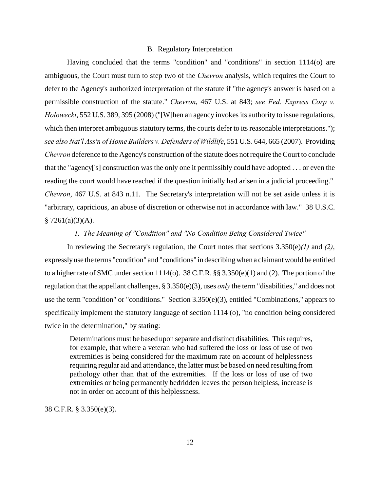#### B. Regulatory Interpretation

Having concluded that the terms "condition" and "conditions" in section 1114(o) are ambiguous, the Court must turn to step two of the *Chevron* analysis, which requires the Court to defer to the Agency's authorized interpretation of the statute if "the agency's answer is based on a permissible construction of the statute." *Chevron*, 467 U.S. at 843; *see Fed. Express Corp v. Holowecki*, 552 U.S. 389, 395 (2008) ("[W]hen an agency invokes its authority to issue regulations, which then interpret ambiguous statutory terms, the courts defer to its reasonable interpretations."); *see also Nat'l Ass'n of Home Builders v. Defenders of Wildlife*, 551 U.S. 644, 665 (2007). Providing *Chevron* deference to the Agency's construction of the statute does not require the Court to conclude that the "agency['s] construction was the only one it permissibly could have adopted . . . or even the reading the court would have reached if the question initially had arisen in a judicial proceeding." *Chevron*, 467 U.S. at 843 n.11. The Secretary's interpretation will not be set aside unless it is "arbitrary, capricious, an abuse of discretion or otherwise not in accordance with law." 38 U.S.C.  $§ 7261(a)(3)(A).$ 

# *1. The Meaning of "Condition" and "No Condition Being Considered Twice"*

In reviewing the Secretary's regulation, the Court notes that sections 3.350(e)*(1)* and *(2)*, expressly use the terms "condition" and "conditions" in describing when a claimant would be entitled to a higher rate of SMC under section 1114(o). 38 C.F.R. §§ 3.350(e)(1) and (2). The portion of the regulation that the appellant challenges, § 3.350(e)(3), uses *only* the term "disabilities," and does not use the term "condition" or "conditions." Section 3.350(e)(3), entitled "Combinations," appears to specifically implement the statutory language of section 1114 (o), "no condition being considered twice in the determination," by stating:

Determinations must be based upon separate and distinct disabilities. This requires, for example, that where a veteran who had suffered the loss or loss of use of two extremities is being considered for the maximum rate on account of helplessness requiring regular aid and attendance, the latter must be based on need resulting from pathology other than that of the extremities. If the loss or loss of use of two extremities or being permanently bedridden leaves the person helpless, increase is not in order on account of this helplessness.

38 C.F.R. § 3.350(e)(3).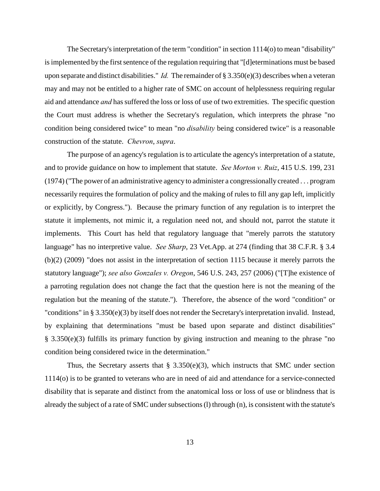The Secretary's interpretation of the term "condition" in section 1114(o) to mean "disability" is implemented by the first sentence of the regulation requiring that "[d]eterminations must be based upon separate and distinct disabilities." *Id.* The remainder of § 3.350(e)(3) describes when a veteran may and may not be entitled to a higher rate of SMC on account of helplessness requiring regular aid and attendance *and* has suffered the loss or loss of use of two extremities. The specific question the Court must address is whether the Secretary's regulation, which interprets the phrase "no condition being considered twice" to mean "no *disability* being considered twice" is a reasonable construction of the statute. *Chevron*, *supra*.

The purpose of an agency's regulation is to articulate the agency's interpretation of a statute, and to provide guidance on how to implement that statute. *See Morton v. Ruiz*, 415 U.S. 199, 231 (1974) ("The power of an administrative agency to administer a congressionally created . . . program necessarily requires the formulation of policy and the making of rules to fill any gap left, implicitly or explicitly, by Congress."). Because the primary function of any regulation is to interpret the statute it implements, not mimic it, a regulation need not, and should not, parrot the statute it implements. This Court has held that regulatory language that "merely parrots the statutory language" has no interpretive value. *See Sharp*, 23 Vet.App. at 274 (finding that 38 C.F.R. § 3.4 (b)(2) (2009) "does not assist in the interpretation of section 1115 because it merely parrots the statutory language"); *see also Gonzales v. Oregon*, 546 U.S. 243, 257 (2006) ("[T]he existence of a parroting regulation does not change the fact that the question here is not the meaning of the regulation but the meaning of the statute."). Therefore, the absence of the word "condition" or "conditions" in § 3.350(e)(3) by itself does not render the Secretary's interpretation invalid. Instead, by explaining that determinations "must be based upon separate and distinct disabilities" § 3.350(e)(3) fulfills its primary function by giving instruction and meaning to the phrase "no condition being considered twice in the determination."

Thus, the Secretary asserts that  $\S$  3.350(e)(3), which instructs that SMC under section 1114(o) is to be granted to veterans who are in need of aid and attendance for a service-connected disability that is separate and distinct from the anatomical loss or loss of use or blindness that is already the subject of a rate of SMC under subsections (l) through (n), is consistent with the statute's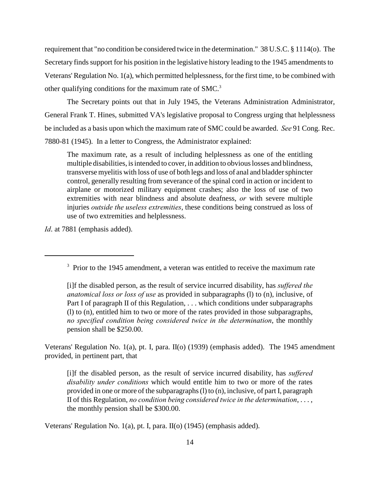requirement that "no condition be considered twice in the determination." 38 U.S.C. § 1114(o). The Secretary finds support for his position in the legislative history leading to the 1945 amendments to Veterans' Regulation No. 1(a), which permitted helplessness, for the first time, to be combined with other qualifying conditions for the maximum rate of SMC. <sup>3</sup>

The Secretary points out that in July 1945, the Veterans Administration Administrator, General Frank T. Hines, submitted VA's legislative proposal to Congress urging that helplessness be included as a basis upon which the maximum rate of SMC could be awarded. *See* 91 Cong. Rec. 7880-81 (1945). In a letter to Congress, the Administrator explained:

The maximum rate, as a result of including helplessness as one of the entitling multiple disabilities, is intended to cover, in addition to obvious losses and blindness, transverse myelitis with loss of use of both legs and loss of anal and bladder sphincter control, generally resulting from severance of the spinal cord in action or incident to airplane or motorized military equipment crashes; also the loss of use of two extremities with near blindness and absolute deafness, *or* with severe multiple injuries *outside the useless extremities*, these conditions being construed as loss of use of two extremities and helplessness.

*Id*. at 7881 (emphasis added).

Veterans' Regulation No. 1(a), pt. I, para. II(o) (1939) (emphasis added). The 1945 amendment provided, in pertinent part, that

[i]f the disabled person, as the result of service incurred disability, has *suffered disability under conditions* which would entitle him to two or more of the rates provided in one or more of the subparagraphs (l) to (n), inclusive, of part I, paragraph II of this Regulation, *no condition being considered twice in the determination*, . . . , the monthly pension shall be \$300.00.

Veterans' Regulation No. 1(a), pt. I, para. II(o) (1945) (emphasis added).

 $3$  Prior to the 1945 amendment, a veteran was entitled to receive the maximum rate

<sup>[</sup>i]f the disabled person, as the result of service incurred disability, has *suffered the anatomical loss or loss of use* as provided in subparagraphs (l) to (n), inclusive, of Part I of paragraph II of this Regulation, . . . which conditions under subparagraphs (l) to (n), entitled him to two or more of the rates provided in those subparagraphs, *no specified condition being considered twice in the determination*, the monthly pension shall be \$250.00.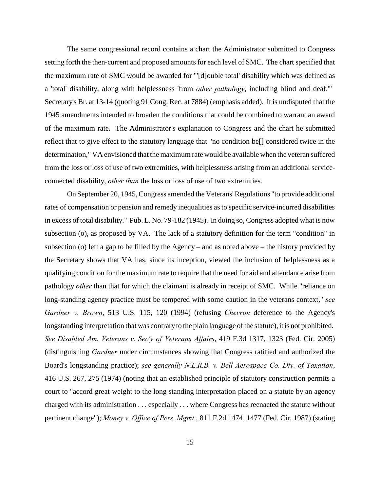The same congressional record contains a chart the Administrator submitted to Congress setting forth the then-current and proposed amounts for each level of SMC. The chart specified that the maximum rate of SMC would be awarded for "'[d]ouble total' disability which was defined as a 'total' disability, along with helplessness 'from *other pathology*, including blind and deaf.'" Secretary's Br. at 13-14 (quoting 91 Cong. Rec. at 7884) (emphasis added). It is undisputed that the 1945 amendments intended to broaden the conditions that could be combined to warrant an award of the maximum rate. The Administrator's explanation to Congress and the chart he submitted reflect that to give effect to the statutory language that "no condition be[] considered twice in the determination," VA envisioned that the maximum rate would be available when the veteran suffered from the loss or loss of use of two extremities, with helplessness arising from an additional serviceconnected disability, *other than* the loss or loss of use of two extremities.

On September 20, 1945, Congress amended the Veterans' Regulations "to provide additional rates of compensation or pension and remedy inequalities as to specific service-incurred disabilities in excess of total disability." Pub. L. No. 79-182 (1945). In doing so, Congress adopted what is now subsection (o), as proposed by VA. The lack of a statutory definition for the term "condition" in subsection (o) left a gap to be filled by the Agency – and as noted above – the history provided by the Secretary shows that VA has, since its inception, viewed the inclusion of helplessness as a qualifying condition for the maximum rate to require that the need for aid and attendance arise from pathology *other* than that for which the claimant is already in receipt of SMC. While "reliance on long-standing agency practice must be tempered with some caution in the veterans context," *see Gardner v. Brown*, 513 U.S. 115, 120 (1994) (refusing *Chevron* deference to the Agency's longstanding interpretation that was contrary to the plain language of the statute), it is not prohibited. *See Disabled Am. Veterans v. Sec'y of Veterans Affairs*, 419 F.3d 1317, 1323 (Fed. Cir. 2005) (distinguishing *Gardner* under circumstances showing that Congress ratified and authorized the Board's longstanding practice); *see generally N.L.R.B. v. Bell Aerospace Co. Div. of Taxation*, 416 U.S. 267, 275 (1974) (noting that an established principle of statutory construction permits a court to "accord great weight to the long standing interpretation placed on a statute by an agency charged with its administration . . . especially . . . where Congress has reenacted the statute without pertinent change"); *Money v. Office of Pers. Mgmt.*, 811 F.2d 1474, 1477 (Fed. Cir. 1987) (stating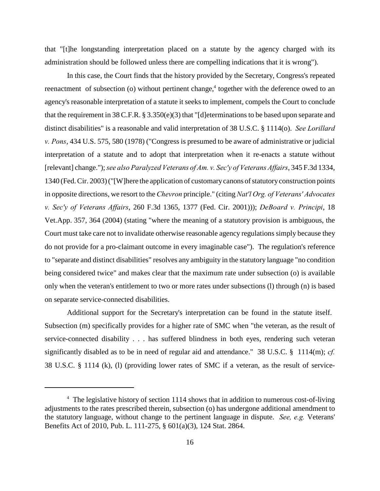that "[t]he longstanding interpretation placed on a statute by the agency charged with its administration should be followed unless there are compelling indications that it is wrong").

In this case, the Court finds that the history provided by the Secretary, Congress's repeated reenactment of subsection (o) without pertinent change, $4$  together with the deference owed to an agency's reasonable interpretation of a statute it seeks to implement, compels the Court to conclude that the requirement in 38 C.F.R. § 3.350(e)(3) that "[d]eterminations to be based upon separate and distinct disabilities" is a reasonable and valid interpretation of 38 U.S.C. § 1114(o). *See Lorillard v. Pons*, 434 U.S. 575, 580 (1978) ("Congress is presumed to be aware of administrative or judicial interpretation of a statute and to adopt that interpretation when it re-enacts a statute without [relevant] change."); *see also Paralyzed Veterans of Am. v. Sec'y of Veterans Affairs*, 345 F.3d 1334, 1340 (Fed. Cir. 2003) ("[W]here the application of customary canons of statutory construction points in opposite directions, we resort to the *Chevron* principle." (citing *Nat'l Org. of Veterans' Advocates v. Sec'y of Veterans Affairs*, 260 F.3d 1365, 1377 (Fed. Cir. 2001))); *DeBoard v. Principi*, 18 Vet.App. 357, 364 (2004) (stating "where the meaning of a statutory provision is ambiguous, the Court must take care not to invalidate otherwise reasonable agency regulations simply because they do not provide for a pro-claimant outcome in every imaginable case"). The regulation's reference to "separate and distinct disabilities" resolves any ambiguity in the statutory language "no condition being considered twice" and makes clear that the maximum rate under subsection (o) is available only when the veteran's entitlement to two or more rates under subsections (l) through (n) is based on separate service-connected disabilities.

Additional support for the Secretary's interpretation can be found in the statute itself. Subsection (m) specifically provides for a higher rate of SMC when "the veteran, as the result of service-connected disability . . . has suffered blindness in both eyes, rendering such veteran significantly disabled as to be in need of regular aid and attendance." 38 U.S.C. § 1114(m); *cf.* 38 U.S.C. § 1114 (k), (l) (providing lower rates of SMC if a veteran, as the result of service-

 $4\text{ The legislative history of section } 1114 \text{ shows that in addition to numerous cost-of-living}$ adjustments to the rates prescribed therein, subsection (o) has undergone additional amendment to the statutory language, without change to the pertinent language in dispute. *See, e.g.* Veterans' Benefits Act of 2010, Pub. L. 111-275, § 601(a)(3), 124 Stat. 2864.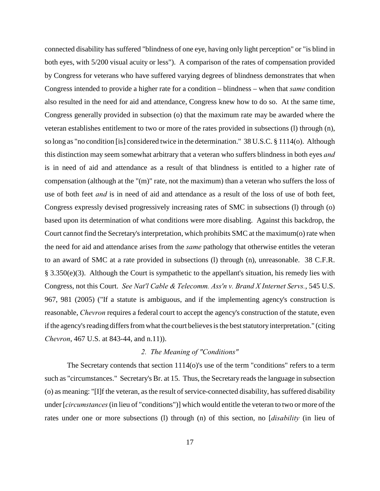connected disability has suffered "blindness of one eye, having only light perception" or "is blind in both eyes, with 5/200 visual acuity or less"). A comparison of the rates of compensation provided by Congress for veterans who have suffered varying degrees of blindness demonstrates that when Congress intended to provide a higher rate for a condition – blindness – when that *same* condition also resulted in the need for aid and attendance, Congress knew how to do so. At the same time, Congress generally provided in subsection (o) that the maximum rate may be awarded where the veteran establishes entitlement to two or more of the rates provided in subsections (l) through (n), so long as "no condition [is] considered twice in the determination." 38 U.S.C. § 1114(o). Although this distinction may seem somewhat arbitrary that a veteran who suffers blindness in both eyes *and* is in need of aid and attendance as a result of that blindness is entitled to a higher rate of compensation (although at the "(m)" rate, not the maximum) than a veteran who suffers the loss of use of both feet *and* is in need of aid and attendance as a result of the loss of use of both feet, Congress expressly devised progressively increasing rates of SMC in subsections (l) through (o) based upon its determination of what conditions were more disabling. Against this backdrop, the Court cannot find the Secretary's interpretation, which prohibits SMC at the maximum(o) rate when the need for aid and attendance arises from the *same* pathology that otherwise entitles the veteran to an award of SMC at a rate provided in subsections (l) through (n), unreasonable. 38 C.F.R. § 3.350(e)(3). Although the Court is sympathetic to the appellant's situation, his remedy lies with Congress, not this Court. *See Nat'l Cable & Telecomm. Ass'n v. Brand X Internet Servs.*, 545 U.S. 967, 981 (2005) ("If a statute is ambiguous, and if the implementing agency's construction is reasonable, *Chevron* requires a federal court to accept the agency's construction of the statute, even if the agency's reading differs from what the court believes is the best statutory interpretation." (citing *Chevron*, 467 U.S. at 843-44, and n.11)).

# *2. The Meaning of "Conditions"*

The Secretary contends that section  $1114<sub>(o)</sub>$ 's use of the term "conditions" refers to a term such as "circumstances." Secretary's Br. at 15. Thus, the Secretary reads the language in subsection (o) as meaning: "[I]f the veteran, as the result of service-connected disability, has suffered disability under [*circumstances* (in lieu of "conditions")] which would entitle the veteran to two or more of the rates under one or more subsections (l) through (n) of this section, no [*disability* (in lieu of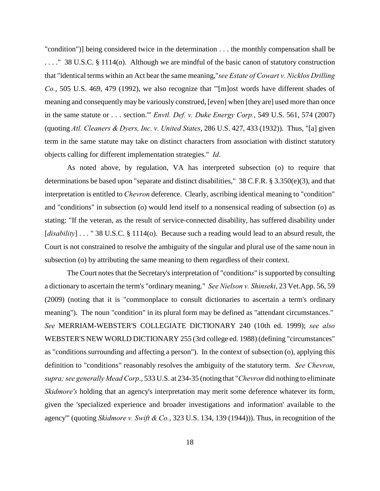"condition")] being considered twice in the determination . . . the monthly compensation shall be . . . ." 38 U.S.C. § 1114(o). Although we are mindful of the basic canon of statutory construction that "identical terms within an Act bear the same meaning,"*see Estate of Cowart v. Nicklos Drilling Co.*, 505 U.S. 469, 479 (1992), we also recognize that "'[m]ost words have different shades of meaning and consequently may be variously construed, [even] when [they are] used more than once in the same statute or . . . section.'" *Envtl. Def. v. Duke Energy Corp.*, 549 U.S. 561, 574 (2007) (quoting *Atl. Cleaners & Dyers, Inc. v. United States*, 286 U.S. 427, 433 (1932)). Thus, "[a] given term in the same statute may take on distinct characters from association with distinct statutory objects calling for different implementation strategies." *Id*.

As noted above, by regulation, VA has interpreted subsection (o) to require that determinations be based upon "separate and distinct disabilities," 38 C.F.R. § 3.350(e)(3), and that interpretation is entitled to *Chevron* deference. Clearly, ascribing identical meaning to "condition" and "conditions" in subsection (o) would lend itself to a nonsensical reading of subsection (o) as stating: "If the veteran, as the result of service-connected disability, has suffered disability under [*disability*] . . . " 38 U.S.C. § 1114(o). Because such a reading would lead to an absurd result, the Court is not constrained to resolve the ambiguity of the singular and plural use of the same noun in subsection (o) by attributing the same meaning to them regardless of their context.

The Court notes that the Secretary's interpretation of "condition*s*" is supported by consulting a dictionary to ascertain the term's "ordinary meaning." *See Nielson v. Shinseki*, 23 Vet.App. 56, 59 (2009) (noting that it is "commonplace to consult dictionaries to ascertain a term's ordinary meaning"). The noun "condition" in its plural form may be defined as "attendant circumstances." *See* MERRIAM-WEBSTER'S COLLEGIATE DICTIONARY 240 (10th ed. 1999); *see also* WEBSTER'S NEW WORLD DICTIONARY 255 (3rd college ed. 1988) (defining "circumstances" as "conditions surrounding and affecting a person"). In the context of subsection (o), applying this definition to "conditions" reasonably resolves the ambiguity of the statutory term. *See Chevron*, *supra; see generally Mead Corp*., 533 U.S. at 234-35 (noting that "*Chevron* did nothing to eliminate *Skidmore's* holding that an agency's interpretation may merit some deference whatever its form, given the 'specialized experience and broader investigations and information' available to the agency'" (quoting *Skidmore v. Swift & Co.*, 323 U.S. 134, 139 (1944))). Thus, in recognition of the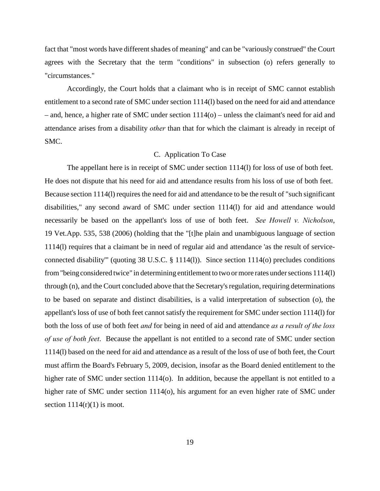fact that "most words have different shades of meaning" and can be "variously construed" the Court agrees with the Secretary that the term "conditions" in subsection (o) refers generally to "circumstances."

Accordingly, the Court holds that a claimant who is in receipt of SMC cannot establish entitlement to a second rate of SMC under section 1114(l) based on the need for aid and attendance – and, hence, a higher rate of SMC under section 1114(o) – unless the claimant's need for aid and attendance arises from a disability *other* than that for which the claimant is already in receipt of SMC.

## C. Application To Case

The appellant here is in receipt of SMC under section 1114(l) for loss of use of both feet. He does not dispute that his need for aid and attendance results from his loss of use of both feet. Because section 1114(l) requires the need for aid and attendance to be the result of "such significant disabilities," any second award of SMC under section 1114(l) for aid and attendance would necessarily be based on the appellant's loss of use of both feet. *See Howell v. Nicholson*, 19 Vet.App. 535, 538 (2006) (holding that the "[t]he plain and unambiguous language of section 1114(l) requires that a claimant be in need of regular aid and attendance 'as the result of serviceconnected disability'" (quoting 38 U.S.C. § 1114(l)). Since section 1114(o) precludes conditions from "being considered twice" in determining entitlement to two or more rates under sections 1114(l) through (n), and the Court concluded above that the Secretary's regulation, requiring determinations to be based on separate and distinct disabilities, is a valid interpretation of subsection (o), the appellant's loss of use of both feet cannot satisfy the requirement for SMC under section 1114(l) for both the loss of use of both feet *and* for being in need of aid and attendance *as a result of the loss of use of both feet*. Because the appellant is not entitled to a second rate of SMC under section 1114(l) based on the need for aid and attendance as a result of the loss of use of both feet, the Court must affirm the Board's February 5, 2009, decision, insofar as the Board denied entitlement to the higher rate of SMC under section 1114(o). In addition, because the appellant is not entitled to a higher rate of SMC under section 1114(o), his argument for an even higher rate of SMC under section  $1114(r)(1)$  is moot.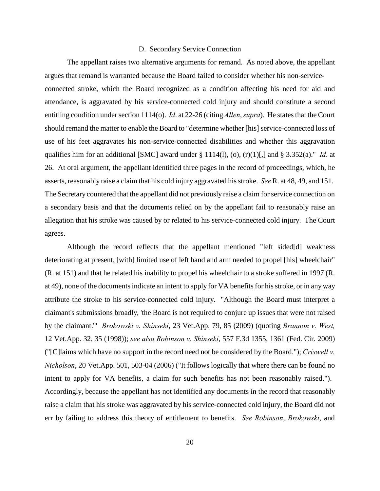#### D. Secondary Service Connection

The appellant raises two alternative arguments for remand. As noted above, the appellant argues that remand is warranted because the Board failed to consider whether his non-serviceconnected stroke, which the Board recognized as a condition affecting his need for aid and attendance, is aggravated by his service-connected cold injury and should constitute a second entitling condition under section 1114(o). *Id*. at 22-26 (citing *Allen*, *supra*). He states that the Court should remand the matter to enable the Board to "determine whether [his] service-connected loss of use of his feet aggravates his non-service-connected disabilities and whether this aggravation qualifies him for an additional [SMC] award under  $\S 1114(1)$ , (o), (r)(1)[,] and  $\S 3.352(a)$ ." *Id.* at 26. At oral argument, the appellant identified three pages in the record of proceedings, which, he asserts, reasonably raise a claim that his cold injury aggravated his stroke. *See* R. at 48, 49, and 151. The Secretary countered that the appellant did not previously raise a claim for service connection on a secondary basis and that the documents relied on by the appellant fail to reasonably raise an allegation that his stroke was caused by or related to his service-connected cold injury. The Court agrees.

Although the record reflects that the appellant mentioned "left sided[d] weakness deteriorating at present, [with] limited use of left hand and arm needed to propel [his] wheelchair" (R. at 151) and that he related his inability to propel his wheelchair to a stroke suffered in 1997 (R. at 49), none of the documents indicate an intent to apply for VA benefits for his stroke, or in any way attribute the stroke to his service-connected cold injury. "Although the Board must interpret a claimant's submissions broadly, 'the Board is not required to conjure up issues that were not raised by the claimant.'" *Brokowski v. Shinseki*, 23 Vet.App. 79, 85 (2009) (quoting *Brannon v. West,* 12 Vet.App. 32, 35 (1998)); *see also Robinson v. Shinseki*, 557 F.3d 1355, 1361 (Fed. Cir. 2009) ("[C]laims which have no support in the record need not be considered by the Board."); *Criswell v. Nicholson*, 20 Vet.App. 501, 503-04 (2006) ("It follows logically that where there can be found no intent to apply for VA benefits, a claim for such benefits has not been reasonably raised."). Accordingly, because the appellant has not identified any documents in the record that reasonably raise a claim that his stroke was aggravated by his service-connected cold injury, the Board did not err by failing to address this theory of entitlement to benefits. *See Robinson*, *Brokowski*, and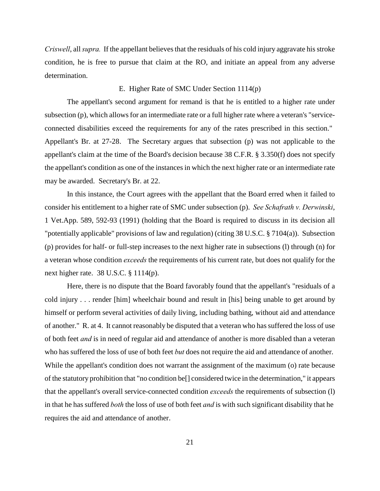*Criswell*, all *supra.* If the appellant believes that the residuals of his cold injury aggravate his stroke condition, he is free to pursue that claim at the RO, and initiate an appeal from any adverse determination.

## E. Higher Rate of SMC Under Section 1114(p)

The appellant's second argument for remand is that he is entitled to a higher rate under subsection (p), which allows for an intermediate rate or a full higher rate where a veteran's "serviceconnected disabilities exceed the requirements for any of the rates prescribed in this section." Appellant's Br. at 27-28. The Secretary argues that subsection (p) was not applicable to the appellant's claim at the time of the Board's decision because 38 C.F.R. § 3.350(f) does not specify the appellant's condition as one of the instances in which the next higher rate or an intermediate rate may be awarded. Secretary's Br. at 22.

In this instance, the Court agrees with the appellant that the Board erred when it failed to consider his entitlement to a higher rate of SMC under subsection (p). *See Schafrath v. Derwinski*, 1 Vet.App. 589, 592-93 (1991) (holding that the Board is required to discuss in its decision all "potentially applicable" provisions of law and regulation) (citing 38 U.S.C. § 7104(a)). Subsection (p) provides for half- or full-step increases to the next higher rate in subsections (l) through (n) for a veteran whose condition *exceeds* the requirements of his current rate, but does not qualify for the next higher rate. 38 U.S.C. § 1114(p).

Here, there is no dispute that the Board favorably found that the appellant's "residuals of a cold injury . . . render [him] wheelchair bound and result in [his] being unable to get around by himself or perform several activities of daily living, including bathing, without aid and attendance of another." R. at 4. It cannot reasonably be disputed that a veteran who has suffered the loss of use of both feet *and* is in need of regular aid and attendance of another is more disabled than a veteran who has suffered the loss of use of both feet *but* does not require the aid and attendance of another. While the appellant's condition does not warrant the assignment of the maximum (o) rate because of the statutory prohibition that "no condition be[] considered twice in the determination," it appears that the appellant's overall service-connected condition *exceeds* the requirements of subsection (l) in that he has suffered *both* the loss of use of both feet *and* is with such significant disability that he requires the aid and attendance of another.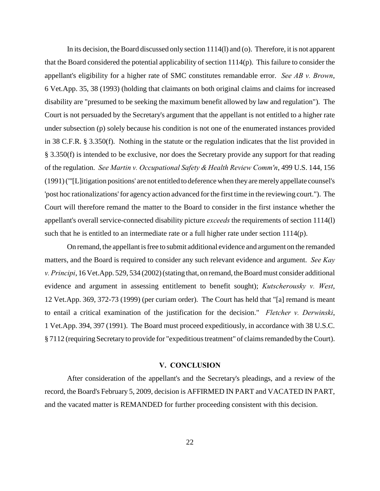In its decision, the Board discussed only section 1114(l) and (o). Therefore, it is not apparent that the Board considered the potential applicability of section 1114(p). This failure to consider the appellant's eligibility for a higher rate of SMC constitutes remandable error. *See AB v. Brown*, 6 Vet.App. 35, 38 (1993) (holding that claimants on both original claims and claims for increased disability are "presumed to be seeking the maximum benefit allowed by law and regulation"). The Court is not persuaded by the Secretary's argument that the appellant is not entitled to a higher rate under subsection (p) solely because his condition is not one of the enumerated instances provided in 38 C.F.R. § 3.350(f). Nothing in the statute or the regulation indicates that the list provided in § 3.350(f) is intended to be exclusive, nor does the Secretary provide any support for that reading of the regulation. *See Martin v. Occupational Safety & Health Review Comm'n*, 499 U.S. 144, 156 (1991) ("'[L]itigation positions' are not entitled to deference when they are merely appellate counsel's 'post hoc rationalizations' for agency action advanced for the first time in the reviewing court."). The Court will therefore remand the matter to the Board to consider in the first instance whether the appellant's overall service-connected disability picture *exceeds* the requirements of section 1114(l) such that he is entitled to an intermediate rate or a full higher rate under section  $1114(p)$ .

On remand, the appellant is free to submit additional evidence and argument on the remanded matters, and the Board is required to consider any such relevant evidence and argument. *See Kay v. Principi*, 16 Vet.App. 529, 534 (2002) (stating that, on remand, the Board must consider additional evidence and argument in assessing entitlement to benefit sought); *Kutscherousky v. West*, 12 Vet.App. 369, 372-73 (1999) (per curiam order). The Court has held that "[a] remand is meant to entail a critical examination of the justification for the decision." *Fletcher v. Derwinski*, 1 Vet.App. 394, 397 (1991). The Board must proceed expeditiously, in accordance with 38 U.S.C. § 7112 (requiring Secretary to provide for "expeditious treatment" of claims remanded by the Court).

### **V. CONCLUSION**

After consideration of the appellant's and the Secretary's pleadings, and a review of the record, the Board's February 5, 2009, decision is AFFIRMED IN PART and VACATED IN PART, and the vacated matter is REMANDED for further proceeding consistent with this decision.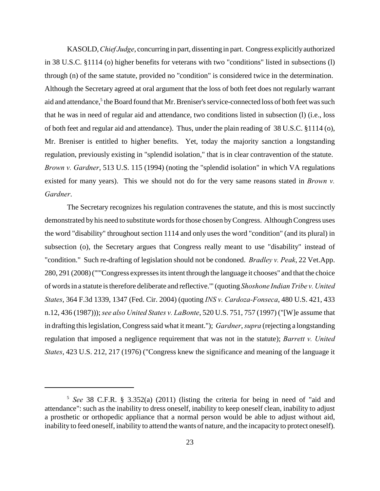KASOLD, *Chief Judge*, concurring in part, dissenting in part. Congress explicitly authorized in 38 U.S.C. §1114 (o) higher benefits for veterans with two "conditions" listed in subsections (l) through (n) of the same statute, provided no "condition" is considered twice in the determination. Although the Secretary agreed at oral argument that the loss of both feet does not regularly warrant aid and attendance,<sup>5</sup> the Board found that Mr. Breniser's service-connected loss of both feet was such that he was in need of regular aid and attendance, two conditions listed in subsection (l) (i.e., loss of both feet and regular aid and attendance). Thus, under the plain reading of 38 U.S.C. §1114 (o), Mr. Breniser is entitled to higher benefits. Yet, today the majority sanction a longstanding regulation, previously existing in "splendid isolation," that is in clear contravention of the statute. *Brown v. Gardner*, 513 U.S. 115 (1994) (noting the "splendid isolation" in which VA regulations existed for many years). This we should not do for the very same reasons stated in *Brown v. Gardner*.

The Secretary recognizes his regulation contravenes the statute, and this is most succinctly demonstrated by his need to substitute words for those chosen by Congress. Although Congress uses the word "disability" throughout section 1114 and only uses the word "condition" (and its plural) in subsection (o), the Secretary argues that Congress really meant to use "disability" instead of "condition." Such re-drafting of legislation should not be condoned. *Bradley v. Peak*, 22 Vet.App. 280, 291 (2008) ("'"Congress expresses its intent through the language it chooses" and that the choice of words in a statute is therefore deliberate and reflective.'" (quoting *Shoshone Indian Tribe v. United States*, 364 F.3d 1339, 1347 (Fed. Cir. 2004) (quoting *INS v. Cardoza-Fonseca*, 480 U.S. 421, 433 n.12, 436 (1987))); *see also United States v. LaBonte*, 520 U.S. 751, 757 (1997) ("[W]e assume that in drafting this legislation, Congress said what it meant."); *Gardner*, *supra* (rejecting a longstanding regulation that imposed a negligence requirement that was not in the statute); *Barrett v. United States*, 423 U.S. 212, 217 (1976) ("Congress knew the significance and meaning of the language it

<sup>&</sup>lt;sup>5</sup> See 38 C.F.R. § 3.352(a) (2011) (listing the criteria for being in need of "aid and attendance": such as the inability to dress oneself, inability to keep oneself clean, inability to adjust a prosthetic or orthopedic appliance that a normal person would be able to adjust without aid, inability to feed oneself, inability to attend the wants of nature, and the incapacity to protect oneself).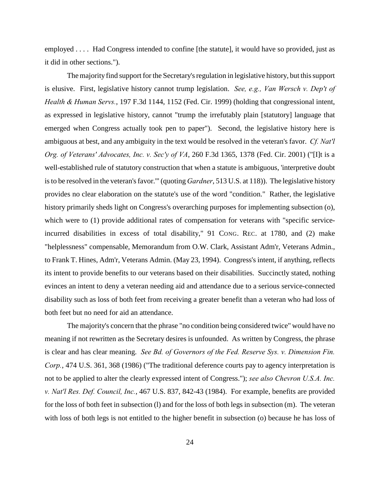employed . . . . Had Congress intended to confine [the statute], it would have so provided, just as it did in other sections.").

The majority find support for the Secretary's regulation in legislative history, but this support is elusive. First, legislative history cannot trump legislation. *See, e.g., Van Wersch v. Dep't of Health & Human Servs.*, 197 F.3d 1144, 1152 (Fed. Cir. 1999) (holding that congressional intent, as expressed in legislative history, cannot "trump the irrefutably plain [statutory] language that emerged when Congress actually took pen to paper"). Second, the legislative history here is ambiguous at best, and any ambiguity in the text would be resolved in the veteran's favor. *Cf. Nat'l Org. of Veterans' Advocates, Inc. v. Sec'y of VA*, 260 F.3d 1365, 1378 (Fed. Cir. 2001) ("[I]t is a well-established rule of statutory construction that when a statute is ambiguous, 'interpretive doubt is to be resolved in the veteran's favor.'" (quoting *Gardner*, 513 U.S. at 118)). The legislative history provides no clear elaboration on the statute's use of the word "condition." Rather, the legislative history primarily sheds light on Congress's overarching purposes for implementing subsection (o), which were to (1) provide additional rates of compensation for veterans with "specific serviceincurred disabilities in excess of total disability," 91 CONG. REC. at 1780, and (2) make "helplessness" compensable, Memorandum from O.W. Clark, Assistant Adm'r, Veterans Admin., to Frank T. Hines, Adm'r, Veterans Admin. (May 23, 1994). Congress's intent, if anything, reflects its intent to provide benefits to our veterans based on their disabilities. Succinctly stated, nothing evinces an intent to deny a veteran needing aid and attendance due to a serious service-connected disability such as loss of both feet from receiving a greater benefit than a veteran who had loss of both feet but no need for aid an attendance.

The majority's concern that the phrase "no condition being considered twice" would have no meaning if not rewritten as the Secretary desires is unfounded. As written by Congress, the phrase is clear and has clear meaning. *See Bd. of Governors of the Fed. Reserve Sys. v. Dimension Fin. Corp.*, 474 U.S. 361, 368 (1986) ("The traditional deference courts pay to agency interpretation is not to be applied to alter the clearly expressed intent of Congress."); *see also Chevron U.S.A. Inc. v. Nat'l Res. Def. Council, Inc.*, 467 U.S. 837, 842-43 (1984). For example, benefits are provided for the loss of both feet in subsection (l) and for the loss of both legs in subsection (m). The veteran with loss of both legs is not entitled to the higher benefit in subsection (o) because he has loss of